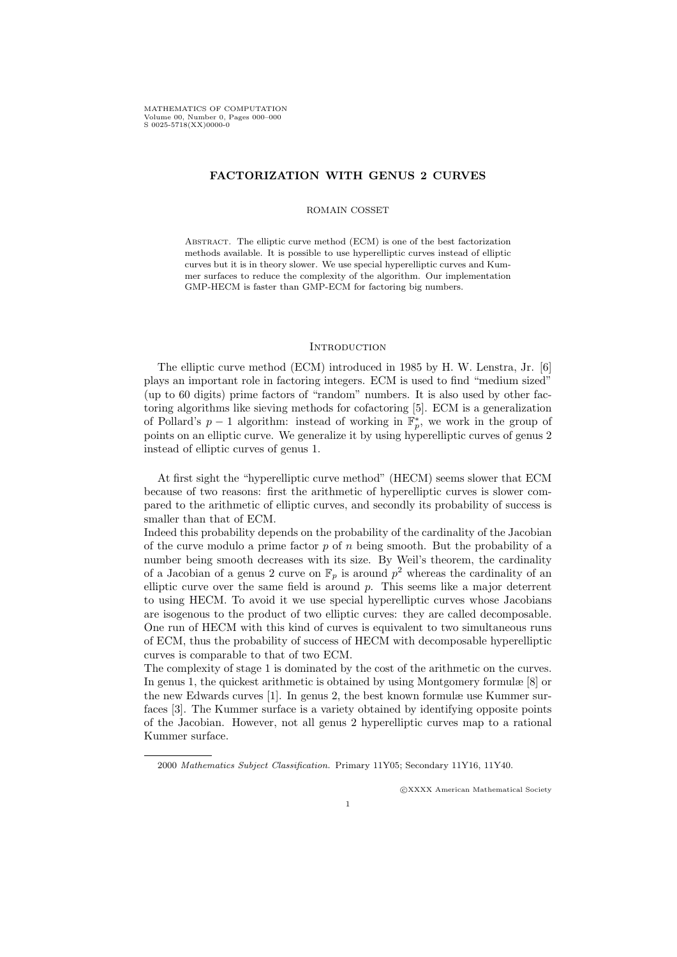MATHEMATICS OF COMPUTATION Volume 00, Number 0, Pages 000–000 S 0025-5718(XX)0000-0

# FACTORIZATION WITH GENUS 2 CURVES

### ROMAIN COSSET

ABSTRACT. The elliptic curve method (ECM) is one of the best factorization methods available. It is possible to use hyperelliptic curves instead of elliptic curves but it is in theory slower. We use special hyperelliptic curves and Kummer surfaces to reduce the complexity of the algorithm. Our implementation GMP-HECM is faster than GMP-ECM for factoring big numbers.

### **INTRODUCTION**

The elliptic curve method (ECM) introduced in 1985 by H. W. Lenstra, Jr. [6] plays an important role in factoring integers. ECM is used to find "medium sized" (up to 60 digits) prime factors of "random" numbers. It is also used by other factoring algorithms like sieving methods for cofactoring [5]. ECM is a generalization of Pollard's  $p-1$  algorithm: instead of working in  $\mathbb{F}_p^*$ , we work in the group of points on an elliptic curve. We generalize it by using hyperelliptic curves of genus 2 instead of elliptic curves of genus 1.

At first sight the "hyperelliptic curve method" (HECM) seems slower that ECM because of two reasons: first the arithmetic of hyperelliptic curves is slower compared to the arithmetic of elliptic curves, and secondly its probability of success is smaller than that of ECM.

Indeed this probability depends on the probability of the cardinality of the Jacobian of the curve modulo a prime factor  $p$  of  $n$  being smooth. But the probability of a number being smooth decreases with its size. By Weil's theorem, the cardinality of a Jacobian of a genus 2 curve on  $\mathbb{F}_p$  is around  $p^2$  whereas the cardinality of an elliptic curve over the same field is around  $p$ . This seems like a major deterrent to using HECM. To avoid it we use special hyperelliptic curves whose Jacobians are isogenous to the product of two elliptic curves: they are called decomposable. One run of HECM with this kind of curves is equivalent to two simultaneous runs of ECM, thus the probability of success of HECM with decomposable hyperelliptic curves is comparable to that of two ECM.

The complexity of stage 1 is dominated by the cost of the arithmetic on the curves. In genus 1, the quickest arithmetic is obtained by using Montgomery formulæ [8] or the new Edwards curves [1]. In genus 2, the best known formulæ use Kummer surfaces [3]. The Kummer surface is a variety obtained by identifying opposite points of the Jacobian. However, not all genus 2 hyperelliptic curves map to a rational Kummer surface.

c XXXX American Mathematical Society

<sup>2000</sup> Mathematics Subject Classification. Primary 11Y05; Secondary 11Y16, 11Y40.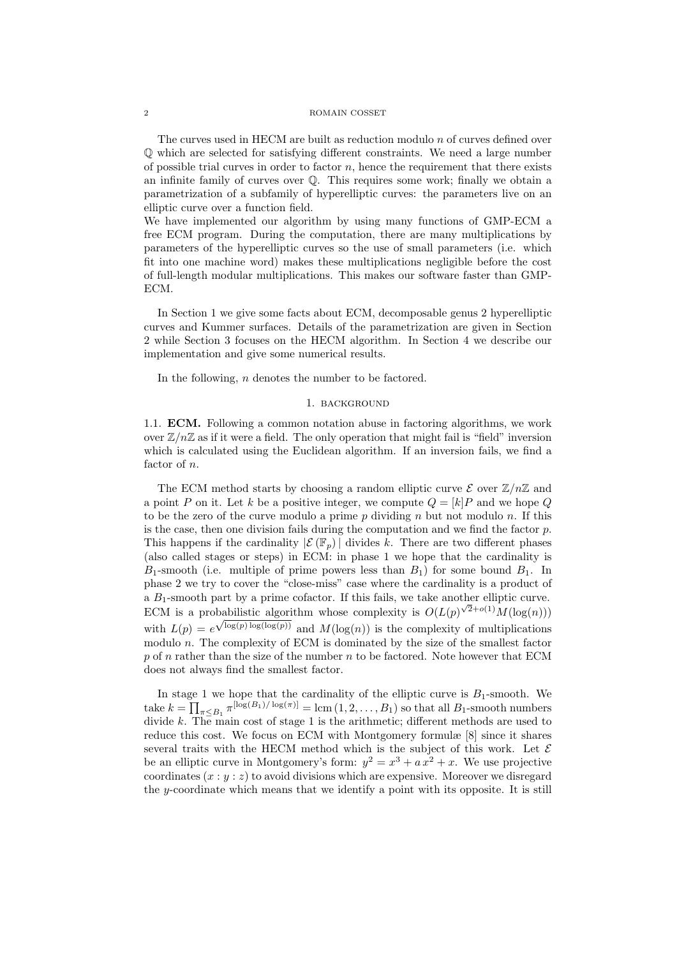The curves used in HECM are built as reduction modulo n of curves defined over Q which are selected for satisfying different constraints. We need a large number of possible trial curves in order to factor  $n$ , hence the requirement that there exists an infinite family of curves over Q. This requires some work; finally we obtain a parametrization of a subfamily of hyperelliptic curves: the parameters live on an elliptic curve over a function field.

We have implemented our algorithm by using many functions of GMP-ECM a free ECM program. During the computation, there are many multiplications by parameters of the hyperelliptic curves so the use of small parameters (i.e. which fit into one machine word) makes these multiplications negligible before the cost of full-length modular multiplications. This makes our software faster than GMP-ECM.

In Section 1 we give some facts about ECM, decomposable genus 2 hyperelliptic curves and Kummer surfaces. Details of the parametrization are given in Section 2 while Section 3 focuses on the HECM algorithm. In Section 4 we describe our implementation and give some numerical results.

In the following,  $n$  denotes the number to be factored.

# 1. background

1.1. ECM. Following a common notation abuse in factoring algorithms, we work over  $\mathbb{Z}/n\mathbb{Z}$  as if it were a field. The only operation that might fail is "field" inversion which is calculated using the Euclidean algorithm. If an inversion fails, we find a factor of n.

The ECM method starts by choosing a random elliptic curve  $\mathcal E$  over  $\mathbb Z/n\mathbb Z$  and a point P on it. Let k be a positive integer, we compute  $Q = [k]P$  and we hope Q to be the zero of the curve modulo a prime  $p$  dividing  $n$  but not modulo  $n$ . If this is the case, then one division fails during the computation and we find the factor  $p$ . This happens if the cardinality  $|\mathcal{E}(\mathbb{F}_p)|$  divides k. There are two different phases (also called stages or steps) in ECM: in phase 1 we hope that the cardinality is  $B_1$ -smooth (i.e. multiple of prime powers less than  $B_1$ ) for some bound  $B_1$ . In phase 2 we try to cover the "close-miss" case where the cardinality is a product of a  $B_1$ -smooth part by a prime cofactor. If this fails, we take another elliptic curve. ECM is a probabilistic algorithm whose complexity is  $O(L(p)^{\sqrt{2}+o(1)}M(\log(n)))$ with  $L(p) = e^{\sqrt{\log(p)} \log(\log(p))}$  and  $M(\log(n))$  is the complexity of multiplications modulo  $n$ . The complexity of ECM is dominated by the size of the smallest factor  $p$  of n rather than the size of the number n to be factored. Note however that ECM does not always find the smallest factor.

In stage 1 we hope that the cardinality of the elliptic curve is  $B_1$ -smooth. We take  $k = \prod_{\pi \leq B_1} \pi^{\lfloor \log(B_1)/\log(\pi) \rfloor} = \text{lcm}(1, 2, \ldots, B_1)$  so that all  $B_1$ -smooth numbers divide k. The main cost of stage 1 is the arithmetic; different methods are used to reduce this cost. We focus on ECM with Montgomery formulæ [8] since it shares several traits with the HECM method which is the subject of this work. Let  $\mathcal E$ be an elliptic curve in Montgomery's form:  $y^2 = x^3 + a x^2 + x$ . We use projective coordinates  $(x : y : z)$  to avoid divisions which are expensive. Moreover we disregard the y-coordinate which means that we identify a point with its opposite. It is still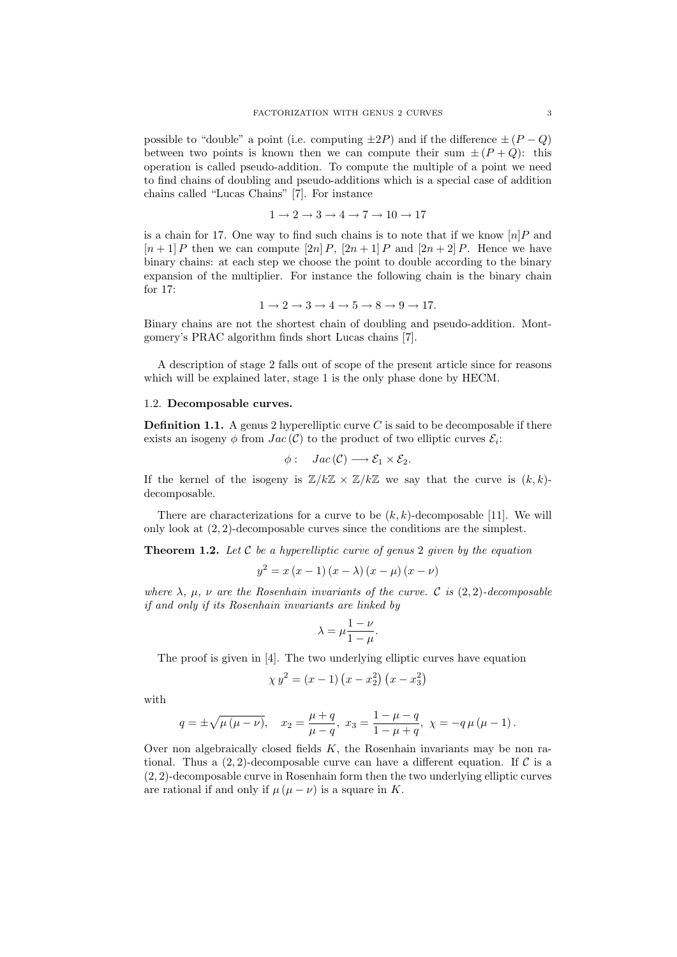possible to "double" a point (i.e. computing  $\pm 2P$ ) and if the difference  $\pm (P - Q)$ between two points is known then we can compute their sum  $\pm (P+Q)$ : this operation is called pseudo-addition. To compute the multiple of a point we need to find chains of doubling and pseudo-additions which is a special case of addition chains called "Lucas Chains" [7]. For instance

$$
1 \rightarrow 2 \rightarrow 3 \rightarrow 4 \rightarrow 7 \rightarrow 10 \rightarrow 17
$$

is a chain for 17. One way to find such chains is to note that if we know  $[n]P$  and  $[n+1]$  P then we can compute  $[2n]$  P,  $[2n+1]$  P and  $[2n+2]$  P. Hence we have binary chains: at each step we choose the point to double according to the binary expansion of the multiplier. For instance the following chain is the binary chain for 17:

$$
1 \to 2 \to 3 \to 4 \to 5 \to 8 \to 9 \to 17.
$$

Binary chains are not the shortest chain of doubling and pseudo-addition. Montgomery's PRAC algorithm finds short Lucas chains [7].

A description of stage 2 falls out of scope of the present article since for reasons which will be explained later, stage 1 is the only phase done by HECM.

### 1.2. Decomposable curves.

**Definition 1.1.** A genus 2 hyperelliptic curve  $C$  is said to be decomposable if there exists an isogeny  $\phi$  from  $Jac(\mathcal{C})$  to the product of two elliptic curves  $\mathcal{E}_i$ :

$$
\phi: Jac(\mathcal{C}) \longrightarrow \mathcal{E}_1 \times \mathcal{E}_2.
$$

If the kernel of the isogeny is  $\mathbb{Z}/k\mathbb{Z} \times \mathbb{Z}/k\mathbb{Z}$  we say that the curve is  $(k, k)$ decomposable.

There are characterizations for a curve to be  $(k, k)$ -decomposable [11]. We will only look at (2, 2)-decomposable curves since the conditions are the simplest.

**Theorem 1.2.** Let  $C$  be a hyperelliptic curve of genus 2 given by the equation

$$
y^{2} = x (x - 1) (x - \lambda) (x - \mu) (x - \nu)
$$

where  $\lambda$ ,  $\mu$ ,  $\nu$  are the Rosenhain invariants of the curve. C is (2,2)-decomposable if and only if its Rosenhain invariants are linked by

$$
\lambda = \mu \frac{1 - \nu}{1 - \mu}.
$$

The proof is given in [4]. The two underlying elliptic curves have equation

$$
\chi y^2 = (x - 1) (x - x_2^2) (x - x_3^2)
$$

with

$$
q = \pm \sqrt{\mu(\mu - \nu)}, \quad x_2 = \frac{\mu + q}{\mu - q}, \ x_3 = \frac{1 - \mu - q}{1 - \mu + q}, \ \chi = -q \mu(\mu - 1).
$$

Over non algebraically closed fields  $K$ , the Rosenhain invariants may be non rational. Thus a  $(2, 2)$ -decomposable curve can have a different equation. If C is a (2, 2)-decomposable curve in Rosenhain form then the two underlying elliptic curves are rational if and only if  $\mu(\mu - \nu)$  is a square in K.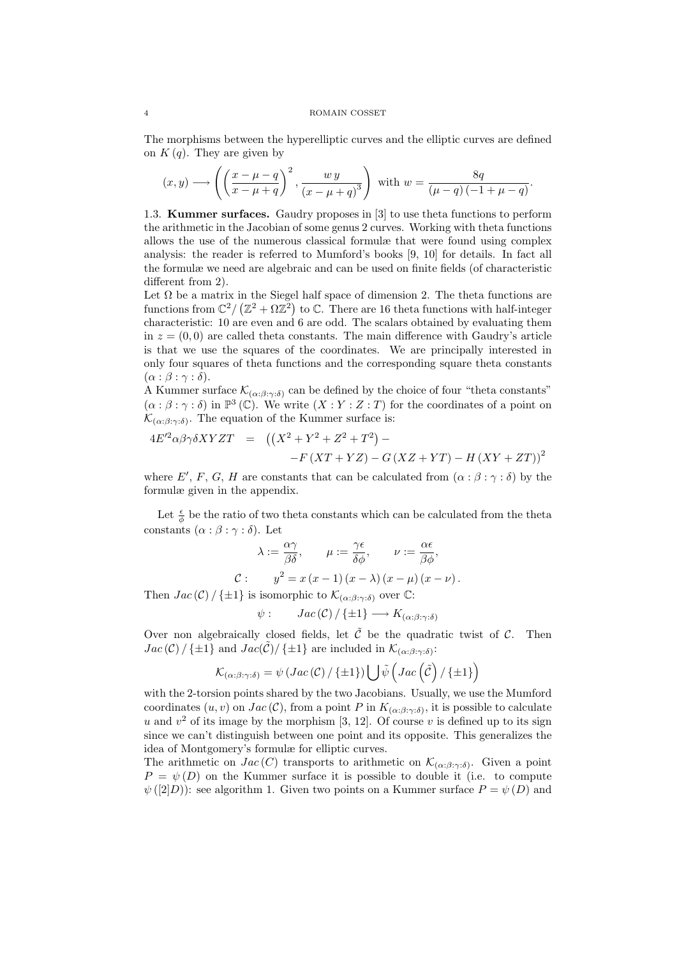The morphisms between the hyperelliptic curves and the elliptic curves are defined on  $K(q)$ . They are given by

$$
(x,y) \longrightarrow \left( \left( \frac{x-\mu-q}{x-\mu+q} \right)^2, \frac{wy}{(x-\mu+q)^3} \right) \text{ with } w = \frac{8q}{(\mu-q)(-1+\mu-q)}.
$$

1.3. Kummer surfaces. Gaudry proposes in [3] to use theta functions to perform the arithmetic in the Jacobian of some genus 2 curves. Working with theta functions allows the use of the numerous classical formulæ that were found using complex analysis: the reader is referred to Mumford's books [9, 10] for details. In fact all the formulæ we need are algebraic and can be used on finite fields (of characteristic different from 2).

Let  $\Omega$  be a matrix in the Siegel half space of dimension 2. The theta functions are functions from  $\mathbb{C}^2/(\mathbb{Z}^2 + \Omega \mathbb{Z}^2)$  to  $\mathbb{C}$ . There are 16 theta functions with half-integer characteristic: 10 are even and 6 are odd. The scalars obtained by evaluating them in  $z = (0, 0)$  are called theta constants. The main difference with Gaudry's article is that we use the squares of the coordinates. We are principally interested in only four squares of theta functions and the corresponding square theta constants  $(\alpha : \beta : \gamma : \delta).$ 

A Kummer surface  $\mathcal{K}_{(\alpha;\beta;\gamma;\delta)}$  can be defined by the choice of four "theta constants"  $(\alpha : \beta : \gamma : \delta)$  in  $\mathbb{P}^3(\mathbb{C})$ . We write  $(X : Y : Z : T)$  for the coordinates of a point on  $\mathcal{K}_{(\alpha:\beta:\gamma:\delta)}$ . The equation of the Kummer surface is:

$$
4E'^{2}\alpha\beta\gamma\delta XYZT = ((X^{2} + Y^{2} + Z^{2} + T^{2}) --F(XT + YZ) - G(XZ + YT) - H(XY + ZT))^{2}
$$

where E', F, G, H are constants that can be calculated from  $(\alpha : \beta : \gamma : \delta)$  by the formulæ given in the appendix.

Let  $\frac{\epsilon}{\phi}$  be the ratio of two theta constants which can be calculated from the theta constants  $(\alpha : \beta : \gamma : \delta)$ . Let

$$
\lambda := \frac{\alpha \gamma}{\beta \delta}, \qquad \mu := \frac{\gamma \epsilon}{\delta \phi}, \qquad \nu := \frac{\alpha \epsilon}{\beta \phi},
$$

 $\mathcal{C}$ :  $y^{2} = x (x - 1) (x - \lambda) (x - \mu) (x - \nu).$ 

Then  $Jac(\mathcal{C})/\{\pm 1\}$  is isomorphic to  $\mathcal{K}_{(\alpha:\beta:\gamma:\delta)}$  over  $\mathbb{C}$ :

$$
\psi: \qquad Jac\left(\mathcal{C}\right)/\left\{\pm 1\right\} \longrightarrow K_{\left(\alpha:\beta:\gamma:\delta\right)}
$$

Over non algebraically closed fields, let  $\tilde{C}$  be the quadratic twist of C. Then  $Jac(\mathcal{C})/\{\pm 1\}$  and  $Jac(\tilde{\mathcal{C}})/\{\pm 1\}$  are included in  $\mathcal{K}_{(\alpha;\beta;\gamma;\delta)}$ :

$$
\mathcal{K}_{(\alpha:\beta:\gamma:\delta)} = \psi \left( Jac \left( \mathcal{C} \right) / \left\{ \pm 1 \right\} \right) \bigcup \tilde{\psi} \left( Jac \left( \tilde{\mathcal{C}} \right) / \left\{ \pm 1 \right\} \right)
$$

with the 2-torsion points shared by the two Jacobians. Usually, we use the Mumford coordinates  $(u, v)$  on  $Jac(\mathcal{C})$ , from a point P in  $K_{(\alpha:\beta:\gamma:\delta)}$ , it is possible to calculate u and  $v^2$  of its image by the morphism [3, 12]. Of course v is defined up to its sign since we can't distinguish between one point and its opposite. This generalizes the idea of Montgomery's formulæ for elliptic curves.

The arithmetic on  $Jac(C)$  transports to arithmetic on  $\mathcal{K}_{(\alpha:\beta:\gamma:\delta)}$ . Given a point  $P = \psi(D)$  on the Kummer surface it is possible to double it (i.e. to compute  $\psi([2]D)$ : see algorithm 1. Given two points on a Kummer surface  $P = \psi(D)$  and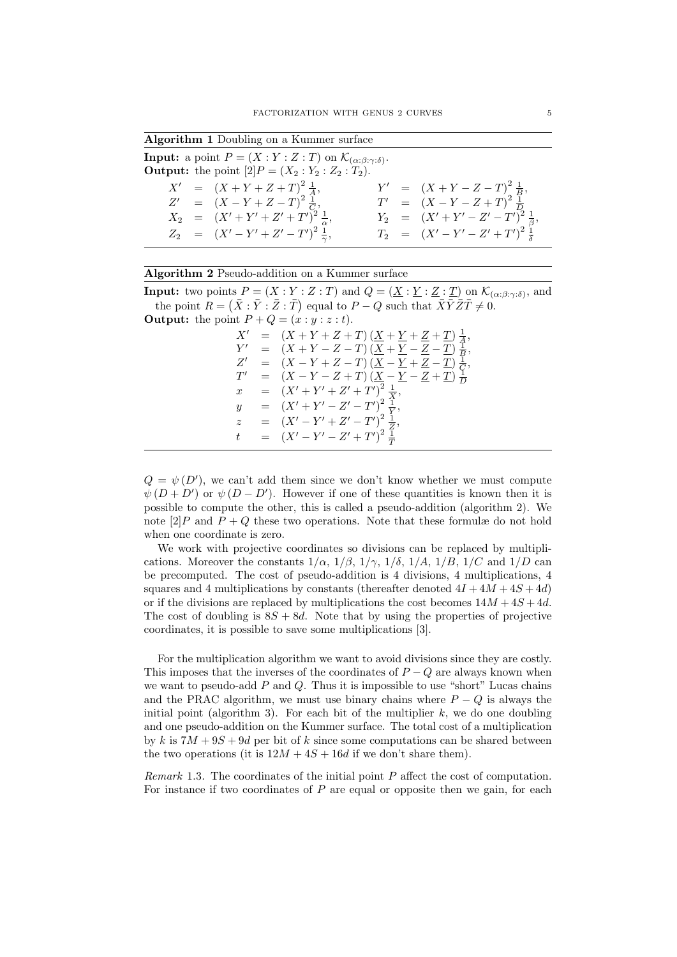Algorithm 1 Doubling on a Kummer surface

| <b>Input:</b> a point $P = (X : Y : Z : T)$ on $\mathcal{K}_{(\alpha:\beta:\gamma:\delta)}$ .<br><b>Output:</b> the point $[2]P = (X_2 : Y_2 : Z_2 : T_2)$ .                   |                                                                                                                                                                        |  |
|--------------------------------------------------------------------------------------------------------------------------------------------------------------------------------|------------------------------------------------------------------------------------------------------------------------------------------------------------------------|--|
| $X' = (X + Y + Z + T)^2 \frac{1}{4},$<br>$Z' = (X - Y + Z - T)^2 \frac{1}{C},$<br>$X_2 = (X' + Y' + Z' + T')^2 \frac{1}{\alpha},$<br>$Z_2 = (X'-Y'+Z'-T')^2 \frac{1}{\gamma},$ | $Y' = (X + Y - Z - T)^2 \frac{1}{R},$<br>$T' = (X - Y - Z + T)^2 \frac{1}{D}$<br>$Y_2 = (X' + Y' - Z' - T')^2 \frac{1}{\beta},$<br>$T_2 = (X'-Y'-Z'+T')^2 \frac{1}{5}$ |  |

**Input:** two points  $P = (X : Y : Z : T)$  and  $Q = (\underline{X} : \underline{Y} : \underline{Z} : \underline{T})$  on  $\mathcal{K}_{(\alpha:\beta:\gamma:\delta)}$ , and the point  $R = (\bar{X} : \bar{Y} : \bar{Z} : \bar{T})$  equal to  $P - Q$  such that  $\bar{X}\bar{Y}\bar{Z}\bar{T} \neq 0$ . **Output:** the point  $P + Q = (x : y : z : t)$ .

|                | $X' = (X + Y + Z + T)(X + Y + Z + T) \frac{1}{4},$                                             |
|----------------|------------------------------------------------------------------------------------------------|
|                | $= (X + Y - Z - T)(\underline{X} + \underline{Y} - \underline{Z} - \underline{T})\frac{T}{B},$ |
|                | $= (X-Y+Z-T)(\underline{X}-\underline{Y}+\underline{Z}-\underline{T})\frac{1}{C},$             |
|                | $= (X-Y-Z+T)(\underline{X}-\underline{Y}-\underline{Z}+\underline{T})\frac{1}{D}$              |
| $\hat{x}$      | $= (X' + Y' + Z' + T')^{2} \frac{1}{Y},$                                                       |
| $\overline{u}$ | $= (X' + Y' - Z' - T')^{2} \frac{1}{Y},$                                                       |
| $\tilde{z}$    | $= (X'-Y'+Z'-T')^2 \frac{1}{7},$                                                               |
| t.             | $= (X'-Y'-Z'+T')^2 \frac{1}{T}$                                                                |
|                |                                                                                                |

 $Q = \psi(D')$ , we can't add them since we don't know whether we must compute  $\psi(D+D')$  or  $\psi(D-D')$ . However if one of these quantities is known then it is possible to compute the other, this is called a pseudo-addition (algorithm 2). We note  $[2]P$  and  $P + Q$  these two operations. Note that these formulæ do not hold when one coordinate is zero.

We work with projective coordinates so divisions can be replaced by multiplications. Moreover the constants  $1/\alpha$ ,  $1/\beta$ ,  $1/\gamma$ ,  $1/\delta$ ,  $1/A$ ,  $1/B$ ,  $1/C$  and  $1/D$  can be precomputed. The cost of pseudo-addition is 4 divisions, 4 multiplications, 4 squares and 4 multiplications by constants (thereafter denoted  $4I + 4M + 4S + 4d$ ) or if the divisions are replaced by multiplications the cost becomes  $14M + 4S + 4d$ . The cost of doubling is  $8S + 8d$ . Note that by using the properties of projective coordinates, it is possible to save some multiplications [3].

For the multiplication algorithm we want to avoid divisions since they are costly. This imposes that the inverses of the coordinates of  $P - Q$  are always known when we want to pseudo-add  $P$  and  $Q$ . Thus it is impossible to use "short" Lucas chains and the PRAC algorithm, we must use binary chains where  $P - Q$  is always the initial point (algorithm 3). For each bit of the multiplier  $k$ , we do one doubling and one pseudo-addition on the Kummer surface. The total cost of a multiplication by k is  $7M + 9S + 9d$  per bit of k since some computations can be shared between the two operations (it is  $12M + 4S + 16d$  if we don't share them).

Remark 1.3. The coordinates of the initial point  $P$  affect the cost of computation. For instance if two coordinates of  $P$  are equal or opposite then we gain, for each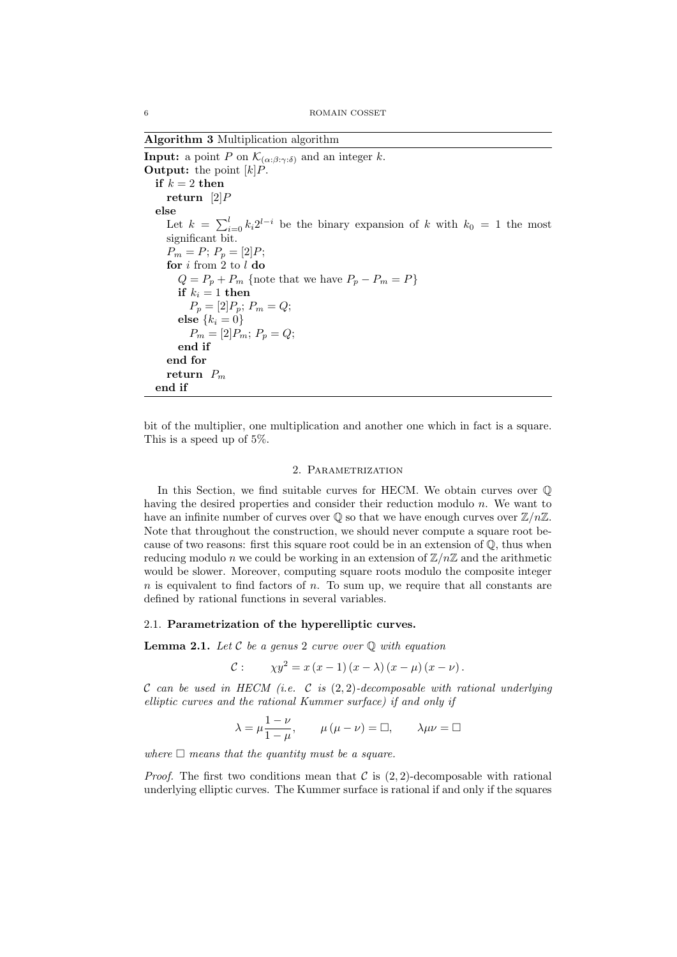Algorithm 3 Multiplication algorithm

**Input:** a point P on  $\mathcal{K}_{(\alpha;\beta;\gamma;\delta)}$  and an integer k. **Output:** the point  $[k]P$ . if  $k = 2$  then return  $[2]P$ else Let  $k = \sum_{i=0}^{l} k_i 2^{l-i}$  be the binary expansion of k with  $k_0 = 1$  the most significant bit.  $P_m = P; P_p = [2]P;$ for  $i$  from  $\overline{2}$  to  $l$  do  $Q = P_p + P_m$  {note that we have  $P_p - P_m = P$ } if  $k_i = 1$  then  $P_p = [2]P_p; P_m = Q;$ else  ${k_i = 0}$  $P_m = [2] \vec{P_m}; P_p = Q;$ end if end for return  $P_m$ end if

bit of the multiplier, one multiplication and another one which in fact is a square. This is a speed up of 5%.

# 2. PARAMETRIZATION

In this Section, we find suitable curves for HECM. We obtain curves over  $\mathbb Q$ having the desired properties and consider their reduction modulo n. We want to have an infinite number of curves over  $\mathbb Q$  so that we have enough curves over  $\mathbb Z/n\mathbb Z$ . Note that throughout the construction, we should never compute a square root because of two reasons: first this square root could be in an extension of  $\mathbb{Q}$ , thus when reducing modulo n we could be working in an extension of  $\mathbb{Z}/n\mathbb{Z}$  and the arithmetic would be slower. Moreover, computing square roots modulo the composite integer  $n$  is equivalent to find factors of  $n$ . To sum up, we require that all constants are defined by rational functions in several variables.

### 2.1. Parametrization of the hyperelliptic curves.

**Lemma 2.1.** Let  $\mathcal C$  be a genus 2 curve over  $\mathbb Q$  with equation

$$
C: \qquad \chi y^2 = x (x - 1) (x - \lambda) (x - \mu) (x - \nu).
$$

 $C$  can be used in HECM (i.e. C is  $(2, 2)$ -decomposable with rational underlying elliptic curves and the rational Kummer surface) if and only if

$$
\lambda = \mu \frac{1 - \nu}{1 - \mu}, \qquad \mu (\mu - \nu) = \square, \qquad \lambda \mu \nu = \square
$$

where  $\Box$  means that the quantity must be a square.

*Proof.* The first two conditions mean that  $\mathcal{C}$  is  $(2, 2)$ -decomposable with rational underlying elliptic curves. The Kummer surface is rational if and only if the squares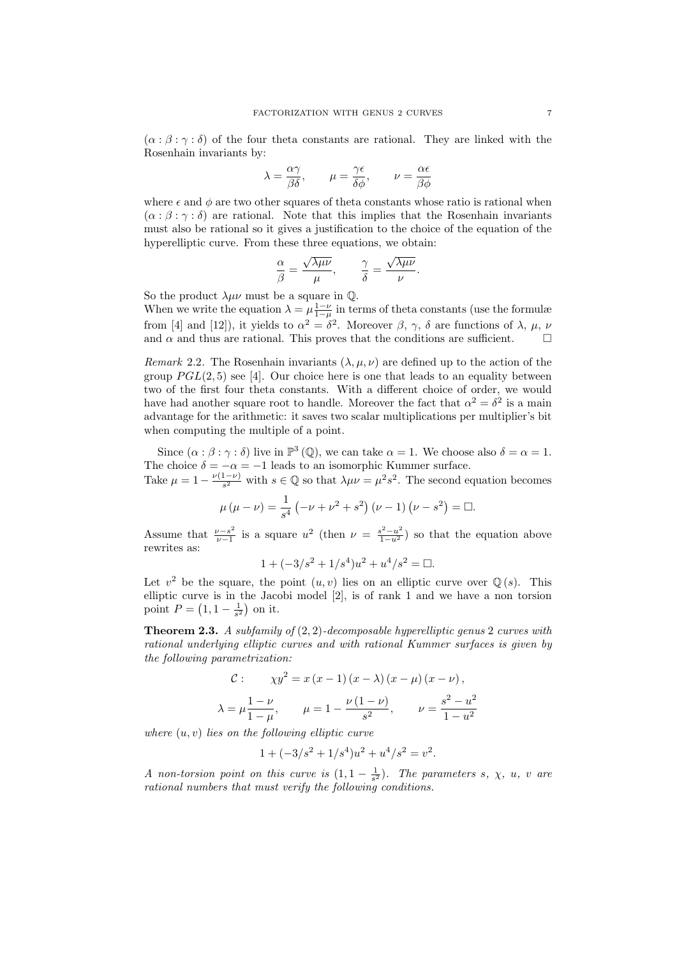$(\alpha : \beta : \gamma : \delta)$  of the four theta constants are rational. They are linked with the Rosenhain invariants by:

$$
\lambda = \frac{\alpha \gamma}{\beta \delta}, \qquad \mu = \frac{\gamma \epsilon}{\delta \phi}, \qquad \nu = \frac{\alpha \epsilon}{\beta \phi}
$$

where  $\epsilon$  and  $\phi$  are two other squares of theta constants whose ratio is rational when  $(\alpha : \beta : \gamma : \delta)$  are rational. Note that this implies that the Rosenhain invariants must also be rational so it gives a justification to the choice of the equation of the hyperelliptic curve. From these three equations, we obtain:

$$
\frac{\alpha}{\beta} = \frac{\sqrt{\lambda \mu \nu}}{\mu}, \qquad \frac{\gamma}{\delta} = \frac{\sqrt{\lambda \mu \nu}}{\nu}.
$$

So the product  $\lambda \mu \nu$  must be a square in Q.

When we write the equation  $\lambda = \mu \frac{1-\nu}{1-\mu}$  in terms of theta constants (use the formulæ from [4] and [12]), it yields to  $\alpha^2 = \delta^2$ . Moreover  $\beta$ ,  $\gamma$ ,  $\delta$  are functions of  $\lambda$ ,  $\mu$ ,  $\nu$ and  $\alpha$  and thus are rational. This proves that the conditions are sufficient.  $\Box$ 

Remark 2.2. The Rosenhain invariants  $(\lambda, \mu, \nu)$  are defined up to the action of the group  $PGL(2, 5)$  see [4]. Our choice here is one that leads to an equality between two of the first four theta constants. With a different choice of order, we would have had another square root to handle. Moreover the fact that  $\alpha^2 = \delta^2$  is a main advantage for the arithmetic: it saves two scalar multiplications per multiplier's bit when computing the multiple of a point.

Since  $(\alpha : \beta : \gamma : \delta)$  live in  $\mathbb{P}^3(\mathbb{Q})$ , we can take  $\alpha = 1$ . We choose also  $\delta = \alpha = 1$ . The choice  $\delta = -\alpha = -1$  leads to an isomorphic Kummer surface.

Take  $\mu = 1 - \frac{\nu(1-\nu)}{s^2}$  $\frac{(1-\nu)}{s^2}$  with  $s \in \mathbb{Q}$  so that  $\lambda \mu \nu = \mu^2 s^2$ . The second equation becomes

$$
\mu(\mu - \nu) = \frac{1}{s^4} \left( -\nu + \nu^2 + s^2 \right) (\nu - 1) (\nu - s^2) = \Box.
$$

Assume that  $\frac{\nu-s^2}{\nu-1}$  $\frac{\nu-s^2}{\nu-1}$  is a square  $u^2$  (then  $\nu = \frac{s^2-u^2}{1-u^2}$ ) so that the equation above rewrites as:

$$
1 + (-3/s^2 + 1/s^4)u^2 + u^4/s^2 = \Box.
$$

Let  $v^2$  be the square, the point  $(u, v)$  lies on an elliptic curve over  $\mathbb{Q}(s)$ . This elliptic curve is in the Jacobi model [2], is of rank 1 and we have a non torsion point  $P = (1, 1 - \frac{1}{s^2})$  on it.

**Theorem 2.3.** A subfamily of  $(2, 2)$ -decomposable hyperelliptic genus 2 curves with rational underlying elliptic curves and with rational Kummer surfaces is given by the following parametrization:

C: 
$$
\chi y^2 = x (x - 1) (x - \lambda) (x - \mu) (x - \nu),
$$
  
\n $\lambda = \mu \frac{1 - \nu}{1 - \mu}, \qquad \mu = 1 - \frac{\nu (1 - \nu)}{s^2}, \qquad \nu = \frac{s^2 - u^2}{1 - u^2}$ 

where  $(u, v)$  lies on the following elliptic curve

$$
1 + (-3/s^2 + 1/s^4)u^2 + u^4/s^2 = v^2.
$$

A non-torsion point on this curve is  $(1, 1 - \frac{1}{s^2})$ . The parameters s,  $\chi$ , u, v are rational numbers that must verify the following conditions.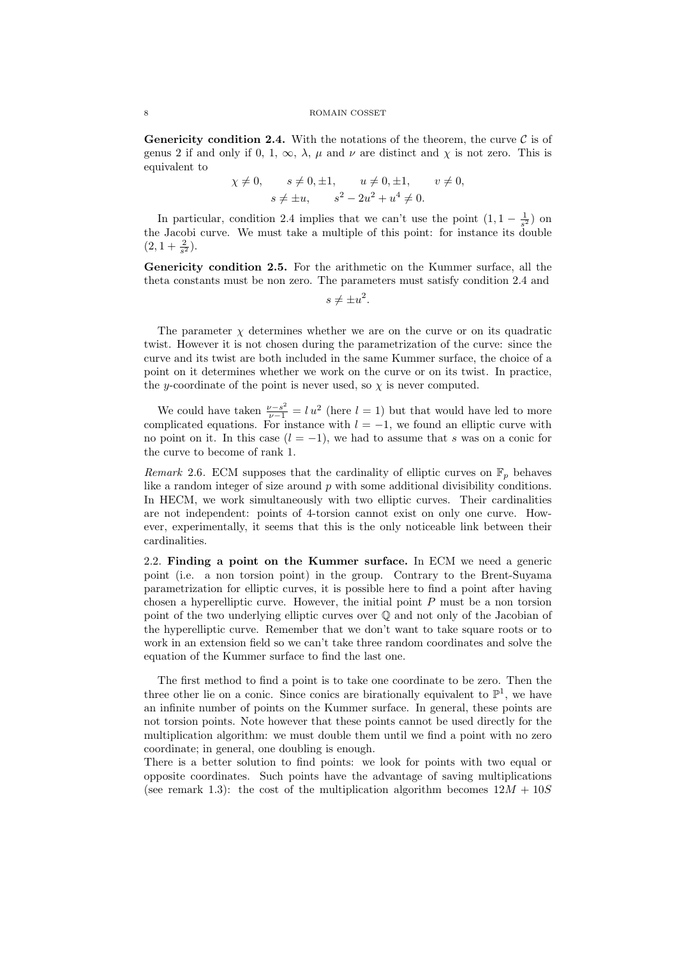**Genericity condition 2.4.** With the notations of the theorem, the curve  $\mathcal{C}$  is of genus 2 if and only if 0, 1,  $\infty$ ,  $\lambda$ ,  $\mu$  and  $\nu$  are distinct and  $\chi$  is not zero. This is equivalent to

$$
\chi \neq 0
$$
,  $s \neq 0, \pm 1$ ,  $u \neq 0, \pm 1$ ,  $v \neq 0$ ,  
 $s \neq \pm u$ ,  $s^2 - 2u^2 + u^4 \neq 0$ .

In particular, condition 2.4 implies that we can't use the point  $(1, 1 - \frac{1}{s^2})$  on the Jacobi curve. We must take a multiple of this point: for instance its double  $(2, 1 + \frac{2}{s^2}).$ 

Genericity condition 2.5. For the arithmetic on the Kummer surface, all the theta constants must be non zero. The parameters must satisfy condition 2.4 and

 $s \neq \pm u^2$ .

The parameter  $\chi$  determines whether we are on the curve or on its quadratic twist. However it is not chosen during the parametrization of the curve: since the curve and its twist are both included in the same Kummer surface, the choice of a point on it determines whether we work on the curve or on its twist. In practice, the y-coordinate of the point is never used, so  $\chi$  is never computed.

We could have taken  $\frac{\nu-s^2}{\nu-1} = l u^2$  (here  $l = 1$ ) but that would have led to more complicated equations. For instance with  $l = -1$ , we found an elliptic curve with no point on it. In this case  $(l = -1)$ , we had to assume that s was on a conic for the curve to become of rank 1.

Remark 2.6. ECM supposes that the cardinality of elliptic curves on  $\mathbb{F}_p$  behaves like a random integer of size around  $p$  with some additional divisibility conditions. In HECM, we work simultaneously with two elliptic curves. Their cardinalities are not independent: points of 4-torsion cannot exist on only one curve. However, experimentally, it seems that this is the only noticeable link between their cardinalities.

2.2. Finding a point on the Kummer surface. In ECM we need a generic point (i.e. a non torsion point) in the group. Contrary to the Brent-Suyama parametrization for elliptic curves, it is possible here to find a point after having chosen a hyperelliptic curve. However, the initial point  $P$  must be a non torsion point of the two underlying elliptic curves over  $\mathbb Q$  and not only of the Jacobian of the hyperelliptic curve. Remember that we don't want to take square roots or to work in an extension field so we can't take three random coordinates and solve the equation of the Kummer surface to find the last one.

The first method to find a point is to take one coordinate to be zero. Then the three other lie on a conic. Since conics are birationally equivalent to  $\mathbb{P}^1$ , we have an infinite number of points on the Kummer surface. In general, these points are not torsion points. Note however that these points cannot be used directly for the multiplication algorithm: we must double them until we find a point with no zero coordinate; in general, one doubling is enough.

There is a better solution to find points: we look for points with two equal or opposite coordinates. Such points have the advantage of saving multiplications (see remark 1.3): the cost of the multiplication algorithm becomes  $12M + 10S$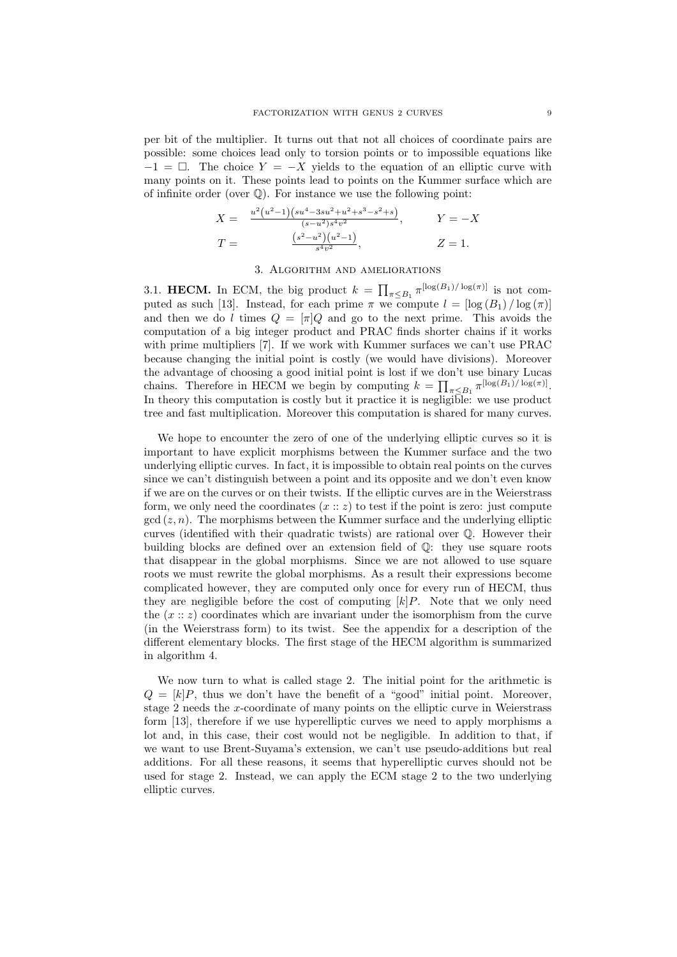per bit of the multiplier. It turns out that not all choices of coordinate pairs are possible: some choices lead only to torsion points or to impossible equations like  $-1 = \Box$ . The choice  $Y = -X$  yields to the equation of an elliptic curve with many points on it. These points lead to points on the Kummer surface which are of infinite order (over  $\mathbb{Q}$ ). For instance we use the following point:

$$
X = \frac{u^2(u^2-1)(su^4-3su^2+u^2+s^3-s^2+s)}{(s-u^2)s^4v^2}, \qquad Y = -X
$$
  

$$
T = \frac{(s^2-u^2)(u^2-1)}{s^4v^2}, \qquad Z = 1.
$$

## 3. Algorithm and ameliorations

3.1. **HECM.** In ECM, the big product  $k = \prod_{\pi \leq B_1} \pi^{\lfloor \log(B_1)/\log(\pi) \rfloor}$  is not computed as such [13]. Instead, for each prime  $\pi$  we compute  $l = \left[\log(B_1)/\log(\pi)\right]$ and then we do l times  $Q = [\pi]Q$  and go to the next prime. This avoids the computation of a big integer product and PRAC finds shorter chains if it works with prime multipliers [7]. If we work with Kummer surfaces we can't use PRAC because changing the initial point is costly (we would have divisions). Moreover the advantage of choosing a good initial point is lost if we don't use binary Lucas chains. Therefore in HECM we begin by computing  $k = \prod_{\pi \leq B_1} \pi^{\lfloor \log(B_1)/\log(\pi) \rfloor}$ . In theory this computation is costly but it practice it is negligible: we use product tree and fast multiplication. Moreover this computation is shared for many curves.

We hope to encounter the zero of one of the underlying elliptic curves so it is important to have explicit morphisms between the Kummer surface and the two underlying elliptic curves. In fact, it is impossible to obtain real points on the curves since we can't distinguish between a point and its opposite and we don't even know if we are on the curves or on their twists. If the elliptic curves are in the Weierstrass form, we only need the coordinates  $(x:: z)$  to test if the point is zero: just compute  $gcd(z, n)$ . The morphisms between the Kummer surface and the underlying elliptic curves (identified with their quadratic twists) are rational over Q. However their building blocks are defined over an extension field of Q: they use square roots that disappear in the global morphisms. Since we are not allowed to use square roots we must rewrite the global morphisms. As a result their expressions become complicated however, they are computed only once for every run of HECM, thus they are negligible before the cost of computing  $[k]P$ . Note that we only need the  $(x:: z)$  coordinates which are invariant under the isomorphism from the curve (in the Weierstrass form) to its twist. See the appendix for a description of the different elementary blocks. The first stage of the HECM algorithm is summarized in algorithm 4.

We now turn to what is called stage 2. The initial point for the arithmetic is  $Q = [k]P$ , thus we don't have the benefit of a "good" initial point. Moreover, stage 2 needs the x-coordinate of many points on the elliptic curve in Weierstrass form [13], therefore if we use hyperelliptic curves we need to apply morphisms a lot and, in this case, their cost would not be negligible. In addition to that, if we want to use Brent-Suyama's extension, we can't use pseudo-additions but real additions. For all these reasons, it seems that hyperelliptic curves should not be used for stage 2. Instead, we can apply the ECM stage 2 to the two underlying elliptic curves.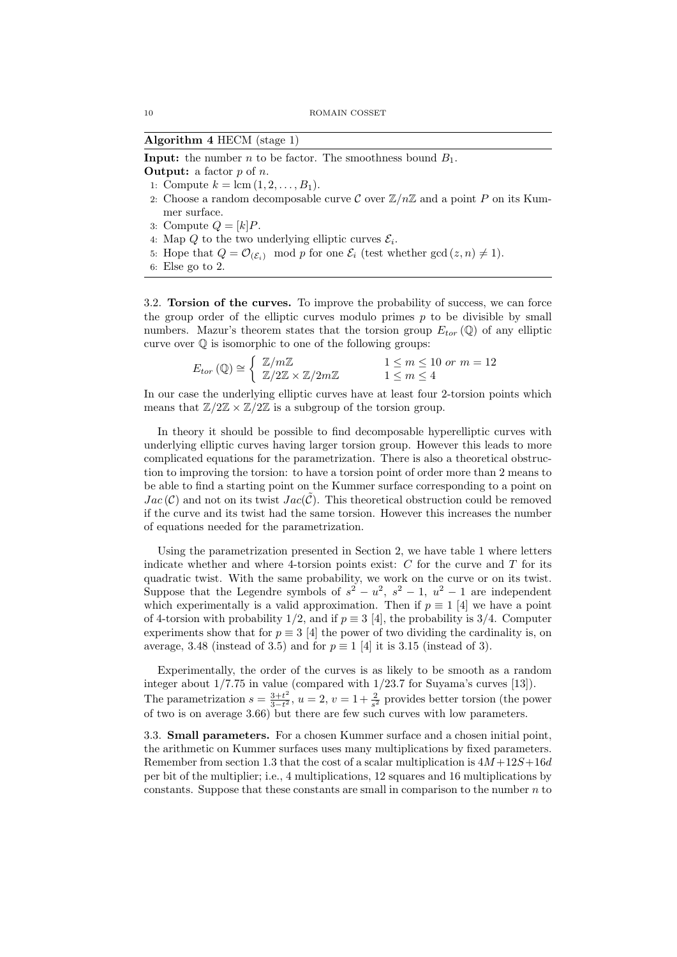Algorithm 4 HECM (stage 1)

**Input:** the number *n* to be factor. The smoothness bound  $B_1$ .

- **Output:** a factor  $p$  of  $n$ .
- 1: Compute  $k = \text{lcm}(1, 2, ..., B_1)$ .
- 2: Choose a random decomposable curve  $\mathcal C$  over  $\mathbb Z/n\mathbb Z$  and a point P on its Kummer surface.
- 3: Compute  $Q = [k]P$ .
- 4: Map Q to the two underlying elliptic curves  $\mathcal{E}_i$ .
- 5: Hope that  $Q = \mathcal{O}_{(\mathcal{E}_i)}$  mod p for one  $\mathcal{E}_i$  (test whether gcd  $(z, n) \neq 1$ ).
- 6: Else go to 2.

3.2. Torsion of the curves. To improve the probability of success, we can force the group order of the elliptic curves modulo primes  $p$  to be divisible by small numbers. Mazur's theorem states that the torsion group  $E_{tor}(\mathbb{Q})$  of any elliptic curve over  $\mathbb{Q}$  is isomorphic to one of the following groups:

$$
E_{tor}(\mathbb{Q}) \cong \begin{cases} \mathbb{Z}/m\mathbb{Z} & 1 \le m \le 10 \text{ or } m = 12\\ \mathbb{Z}/2\mathbb{Z} \times \mathbb{Z}/2m\mathbb{Z} & 1 \le m \le 4 \end{cases}
$$

In our case the underlying elliptic curves have at least four 2-torsion points which means that  $\mathbb{Z}/2\mathbb{Z} \times \mathbb{Z}/2\mathbb{Z}$  is a subgroup of the torsion group.

In theory it should be possible to find decomposable hyperelliptic curves with underlying elliptic curves having larger torsion group. However this leads to more complicated equations for the parametrization. There is also a theoretical obstruction to improving the torsion: to have a torsion point of order more than 2 means to be able to find a starting point on the Kummer surface corresponding to a point on  $Jac(\mathcal{C})$  and not on its twist  $Jac(\mathcal{C})$ . This theoretical obstruction could be removed if the curve and its twist had the same torsion. However this increases the number of equations needed for the parametrization.

Using the parametrization presented in Section 2, we have table 1 where letters indicate whether and where 4-torsion points exist:  $C$  for the curve and  $T$  for its quadratic twist. With the same probability, we work on the curve or on its twist. Suppose that the Legendre symbols of  $s^2 - u^2$ ,  $s^2 - 1$ ,  $u^2 - 1$  are independent which experimentally is a valid approximation. Then if  $p \equiv 1$  [4] we have a point of 4-torsion with probability  $1/2$ , and if  $p \equiv 3$  [4], the probability is  $3/4$ . Computer experiments show that for  $p \equiv 3$  [4] the power of two dividing the cardinality is, on average, 3.48 (instead of 3.5) and for  $p \equiv 1$  [4] it is 3.15 (instead of 3).

Experimentally, the order of the curves is as likely to be smooth as a random integer about 1/7.75 in value (compared with 1/23.7 for Suyama's curves [13]). The parametrization  $s = \frac{3+t^2}{3-t^2}$  $\frac{3+t^2}{3-t^2}$ ,  $u=2, v=1+\frac{2}{s^2}$  provides better torsion (the power of two is on average 3.66) but there are few such curves with low parameters.

3.3. Small parameters. For a chosen Kummer surface and a chosen initial point, the arithmetic on Kummer surfaces uses many multiplications by fixed parameters. Remember from section 1.3 that the cost of a scalar multiplication is  $4M+12S+16d$ per bit of the multiplier; i.e., 4 multiplications, 12 squares and 16 multiplications by constants. Suppose that these constants are small in comparison to the number  $n$  to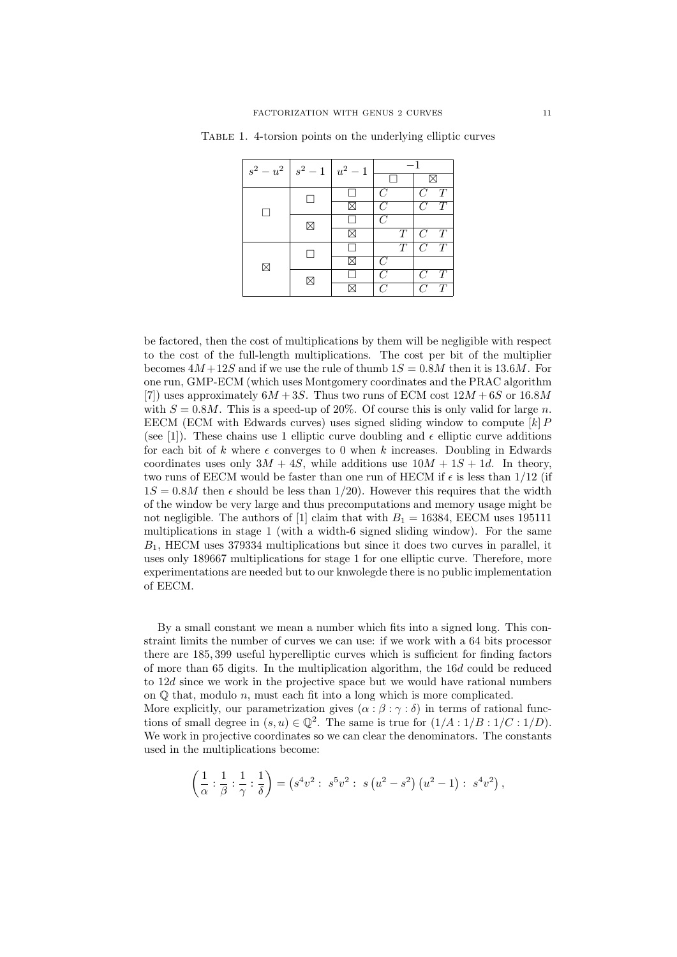| $s^2 - u^2   s^2 - 1   u^2 - 1$ |   |  |                |                    |  |
|---------------------------------|---|--|----------------|--------------------|--|
|                                 |   |  |                |                    |  |
|                                 |   |  | $\overline{C}$ | C<br>T             |  |
|                                 |   |  | C              | T<br>C             |  |
|                                 | ⊠ |  | $\overline{C}$ |                    |  |
|                                 |   |  | T              | Т<br>7             |  |
|                                 |   |  | T              | $\mathcal{C}$<br>T |  |
| ⊠                               |   |  | C              |                    |  |
|                                 |   |  | C              | Т<br>C !           |  |
|                                 |   |  | C              | T<br>7             |  |

Table 1. 4-torsion points on the underlying elliptic curves

be factored, then the cost of multiplications by them will be negligible with respect to the cost of the full-length multiplications. The cost per bit of the multiplier becomes  $4M+12S$  and if we use the rule of thumb  $1S = 0.8M$  then it is 13.6M. For one run, GMP-ECM (which uses Montgomery coordinates and the PRAC algorithm [7]) uses approximately  $6M + 3S$ . Thus two runs of ECM cost  $12M + 6S$  or  $16.8M$ with  $S = 0.8M$ . This is a speed-up of 20%. Of course this is only valid for large n. EECM (ECM with Edwards curves) uses signed sliding window to compute  $[k]$  P (see [1]). These chains use 1 elliptic curve doubling and  $\epsilon$  elliptic curve additions for each bit of k where  $\epsilon$  converges to 0 when k increases. Doubling in Edwards coordinates uses only  $3M + 4S$ , while additions use  $10M + 1S + 1d$ . In theory, two runs of EECM would be faster than one run of HECM if  $\epsilon$  is less than 1/12 (if  $1S = 0.8M$  then  $\epsilon$  should be less than 1/20). However this requires that the width of the window be very large and thus precomputations and memory usage might be not negligible. The authors of [1] claim that with  $B_1 = 16384$ , EECM uses 195111 multiplications in stage 1 (with a width-6 signed sliding window). For the same  $B_1$ , HECM uses 379334 multiplications but since it does two curves in parallel, it uses only 189667 multiplications for stage 1 for one elliptic curve. Therefore, more experimentations are needed but to our knwolegde there is no public implementation of EECM.

By a small constant we mean a number which fits into a signed long. This constraint limits the number of curves we can use: if we work with a 64 bits processor there are 185, 399 useful hyperelliptic curves which is sufficient for finding factors of more than 65 digits. In the multiplication algorithm, the 16d could be reduced to 12d since we work in the projective space but we would have rational numbers on  $\mathbb{O}$  that, modulo *n*, must each fit into a long which is more complicated. More explicitly, our parametrization gives  $(\alpha : \beta : \gamma : \delta)$  in terms of rational functions of small degree in  $(s, u) \in \mathbb{Q}^2$ . The same is true for  $(1/A : 1/B : 1/C : 1/D)$ . We work in projective coordinates so we can clear the denominators. The constants used in the multiplications become:

$$
\left(\frac{1}{\alpha}:\frac{1}{\beta}:\frac{1}{\gamma}:\frac{1}{\delta}\right)=\left(s^4v^2: s^5v^2: s(u^2-s^2)(u^2-1): s^4v^2\right),\,
$$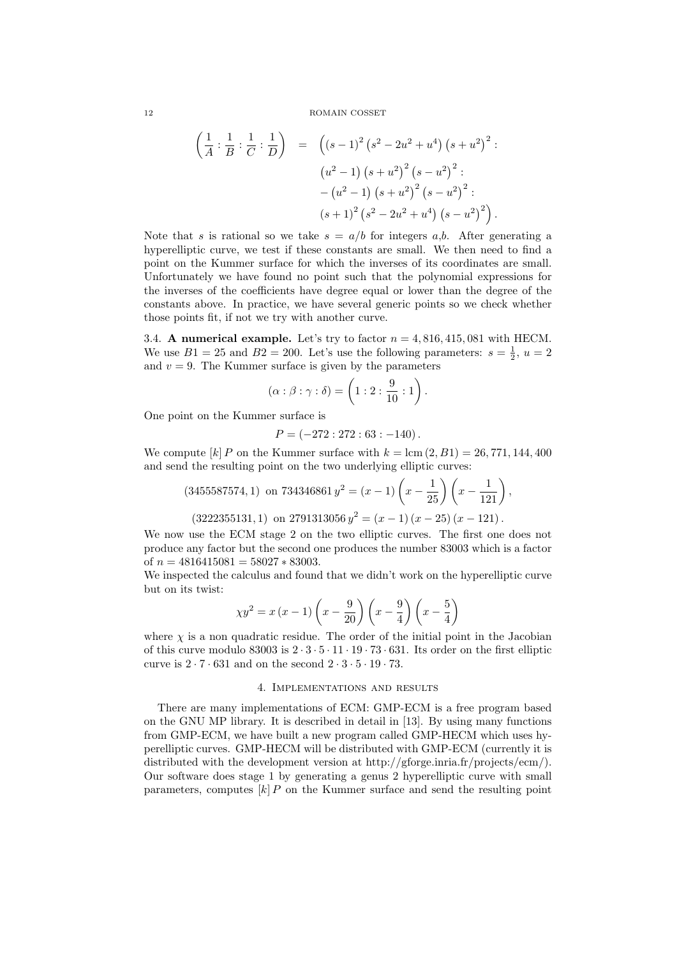$$
\left(\frac{1}{A} : \frac{1}{B} : \frac{1}{C} : \frac{1}{D}\right) = \left((s-1)^2\left(s^2 - 2u^2 + u^4\right)\left(s + u^2\right)^2 : \frac{(u^2-1)\left(s + u^2\right)^2\left(s - u^2\right)^2}{- (u^2 - 1)\left(s + u^2\right)^2\left(s - u^2\right)^2} : \frac{(s+1)^2\left(s^2 - 2u^2 + u^4\right)\left(s - u^2\right)^2}{\left(s + 1\right)^2\left(s^2 - 2u^2 + u^4\right)\left(s - u^2\right)^2}.
$$

Note that s is rational so we take  $s = a/b$  for integers a,b. After generating a hyperelliptic curve, we test if these constants are small. We then need to find a point on the Kummer surface for which the inverses of its coordinates are small. Unfortunately we have found no point such that the polynomial expressions for the inverses of the coefficients have degree equal or lower than the degree of the constants above. In practice, we have several generic points so we check whether those points fit, if not we try with another curve.

3.4. A numerical example. Let's try to factor  $n = 4,816,415,081$  with HECM. We use  $B1 = 25$  and  $B2 = 200$ . Let's use the following parameters:  $s = \frac{1}{2}$ ,  $u = 2$ and  $v = 9$ . The Kummer surface is given by the parameters

$$
(\alpha : \beta : \gamma : \delta) = \left(1 : 2 : \frac{9}{10} : 1\right).
$$

One point on the Kummer surface is

$$
P = (-272:272:63:-140).
$$

We compute  $[k]$  P on the Kummer surface with  $k = \text{lcm}(2, B1) = 26,771,144,400$ and send the resulting point on the two underlying elliptic curves:

$$
(3455587574, 1) on 734346861 y2 = (x - 1)\left(x - \frac{1}{25}\right)\left(x - \frac{1}{121}\right),
$$

 $(3222355131, 1)$  on  $2791313056$   $y^2 = (x - 1)(x - 25)(x - 121)$ .

We now use the ECM stage 2 on the two elliptic curves. The first one does not produce any factor but the second one produces the number 83003 which is a factor of  $n = 4816415081 = 58027 * 83003$ .

We inspected the calculus and found that we didn't work on the hyperelliptic curve but on its twist:

$$
\chi y^2 = x (x - 1) \left( x - \frac{9}{20} \right) \left( x - \frac{9}{4} \right) \left( x - \frac{5}{4} \right)
$$

where  $\chi$  is a non quadratic residue. The order of the initial point in the Jacobian of this curve modulo 83003 is  $2 \cdot 3 \cdot 5 \cdot 11 \cdot 19 \cdot 73 \cdot 631$ . Its order on the first elliptic curve is  $2 \cdot 7 \cdot 631$  and on the second  $2 \cdot 3 \cdot 5 \cdot 19 \cdot 73$ .

#### 4. Implementations and results

There are many implementations of ECM: GMP-ECM is a free program based on the GNU MP library. It is described in detail in [13]. By using many functions from GMP-ECM, we have built a new program called GMP-HECM which uses hyperelliptic curves. GMP-HECM will be distributed with GMP-ECM (currently it is distributed with the development version at http://gforge.inria.fr/projects/ecm/). Our software does stage 1 by generating a genus 2 hyperelliptic curve with small parameters, computes  $[k]$  P on the Kummer surface and send the resulting point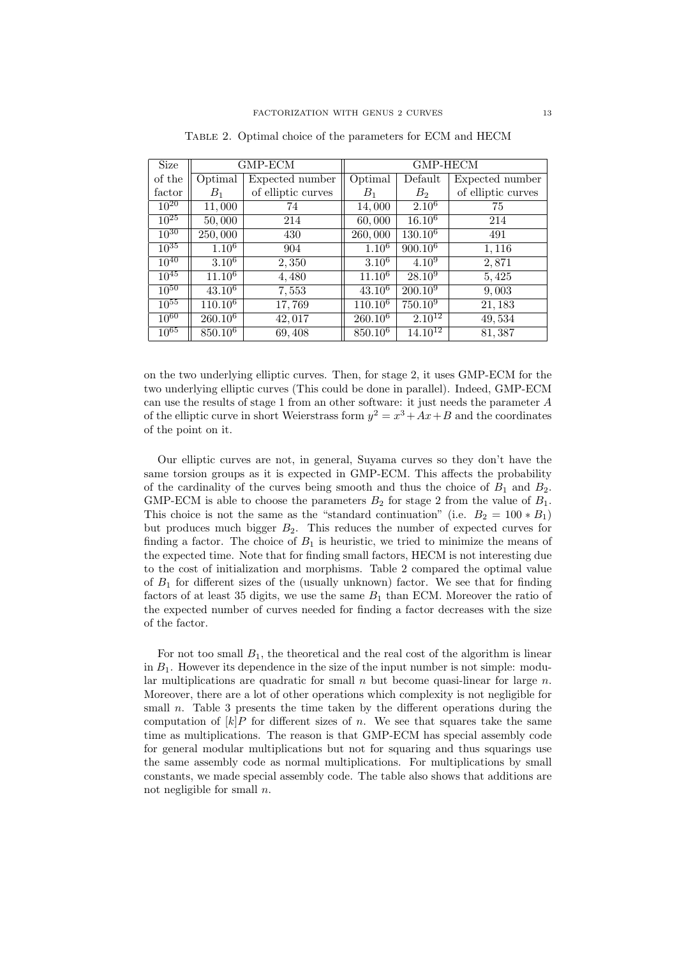| Size      |              | GMP-ECM            | <b>GMP-HECM</b>     |                         |                    |  |  |
|-----------|--------------|--------------------|---------------------|-------------------------|--------------------|--|--|
| of the    | Optimal      | Expected number    | Optimal             | Default                 | Expected number    |  |  |
| factor    | $B_1$        | of elliptic curves | $B_1$               | $B_2$                   | of elliptic curves |  |  |
| $10^{20}$ | 11,000       | 74                 | 14,000              | $2.10^{6}$              | 75                 |  |  |
| $10^{25}$ | 50,000       | 214                | 60,000              | $16.10^{6}$             | 214                |  |  |
| $10^{30}$ | 250,000      | 430                | 260,000             | 130.10 <sup>6</sup>     | 491                |  |  |
| $10^{35}$ | $1.10^{6}$   | 904                | $1.10^{6}$          | $900.10^6$              | 1,116              |  |  |
| $10^{40}$ | $3.10^{6}$   | 2,350              | $3.10^{6}$          | 4.10 <sup>9</sup>       | 2,871              |  |  |
| $10^{45}$ | $11.10^{6}$  | 4,480              | $11.10^{6}$         | $28.10^{9}$             | 5,425              |  |  |
| $10^{50}$ | $43.10^6$    | 7,553              | $43.10^{6}$         | $200.10^{9}$            | 9,003              |  |  |
| $10^{55}$ | $110.10^{6}$ | 17,769             | 110.10 <sup>6</sup> | $750.10^{9}$            | 21,183             |  |  |
| $10^{60}$ | $260.10^{6}$ | 42,017             | $260.10^{6}$        | $2.10^{12}$             | 49,534             |  |  |
| $10^{65}$ | $850.10^{6}$ | 69,408             | 850.10 <sup>6</sup> | $14.\overline{10^{12}}$ | 81,387             |  |  |

Table 2. Optimal choice of the parameters for ECM and HECM

on the two underlying elliptic curves. Then, for stage 2, it uses GMP-ECM for the two underlying elliptic curves (This could be done in parallel). Indeed, GMP-ECM can use the results of stage 1 from an other software: it just needs the parameter A of the elliptic curve in short Weierstrass form  $y^2 = x^3 + Ax + B$  and the coordinates of the point on it.

Our elliptic curves are not, in general, Suyama curves so they don't have the same torsion groups as it is expected in GMP-ECM. This affects the probability of the cardinality of the curves being smooth and thus the choice of  $B_1$  and  $B_2$ . GMP-ECM is able to choose the parameters  $B_2$  for stage 2 from the value of  $B_1$ . This choice is not the same as the "standard continuation" (i.e.  $B_2 = 100 * B_1$ ) but produces much bigger  $B_2$ . This reduces the number of expected curves for finding a factor. The choice of  $B_1$  is heuristic, we tried to minimize the means of the expected time. Note that for finding small factors, HECM is not interesting due to the cost of initialization and morphisms. Table 2 compared the optimal value of  $B_1$  for different sizes of the (usually unknown) factor. We see that for finding factors of at least 35 digits, we use the same  $B_1$  than ECM. Moreover the ratio of the expected number of curves needed for finding a factor decreases with the size of the factor.

For not too small  $B_1$ , the theoretical and the real cost of the algorithm is linear in  $B_1$ . However its dependence in the size of the input number is not simple: modular multiplications are quadratic for small  $n$  but become quasi-linear for large  $n$ . Moreover, there are a lot of other operations which complexity is not negligible for small  $n$ . Table 3 presents the time taken by the different operations during the computation of  $[k]P$  for different sizes of n. We see that squares take the same time as multiplications. The reason is that GMP-ECM has special assembly code for general modular multiplications but not for squaring and thus squarings use the same assembly code as normal multiplications. For multiplications by small constants, we made special assembly code. The table also shows that additions are not negligible for small  $n$ .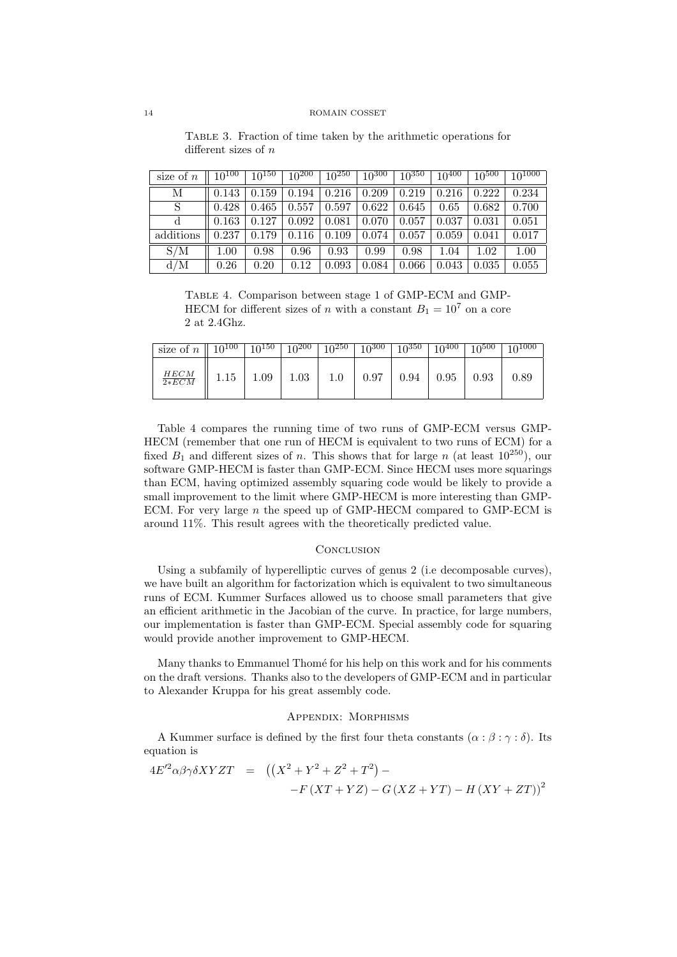Table 3. Fraction of time taken by the arithmetic operations for different sizes of  $n$ 

| size of $n$ | $10^{100}$ | $10^{150}$ | $10^{200}$ | $10^{250}$ | $10^{300}$ | $10^{350}$ | $10^{400}$ | $10^{500}$ | $10^{1000}$ |
|-------------|------------|------------|------------|------------|------------|------------|------------|------------|-------------|
| М           | 0.143      | 0.159      | 0.194      | 0.216      | 0.209      | 0.219      | 0.216      | 0.222      | 0.234       |
|             | 0.428      | 0.465      | 0.557      | 0.597      | 0.622      | 0.645      | 0.65       | 0.682      | 0.700       |
|             | 0.163      | 0.127      | 0.092      | 0.081      | 0.070      | 0.057      | 0.037      | 0.031      | 0.051       |
| additions   | 0.237      | 0.179      | 0.116      | 0.109      | 0.074      | 0.057      | 0.059      | 0.041      | 0.017       |
| S/M         | 1.00       | 0.98       | 0.96       | 0.93       | 0.99       | 0.98       | 1.04       | 1.02       | 1.00        |
| d/M         | 0.26       | 0.20       | 0.12       | 0.093      | 0.084      | 0.066      | 0.043      | 0.035      | 0.055       |

Table 4. Comparison between stage 1 of GMP-ECM and GMP-HECM for different sizes of n with a constant  $B_1 = 10^7$  on a core 2 at 2.4Ghz.

| size of $n$     | $10^{100}$ | 10150 | $10^{200}$ | $10^{250}$ | $10^{300}$ | $10^{350}$ | $10^{400}$ . | $10^{500}$ | $10^{1000}$ |
|-----------------|------------|-------|------------|------------|------------|------------|--------------|------------|-------------|
| HECM<br>$2*ECM$ | 1.15       | 1.09  | 1.03       | $1.0\,$    | 0.97       | 0.94       | 0.95         | 0.93       | 0.89        |

Table 4 compares the running time of two runs of GMP-ECM versus GMP-HECM (remember that one run of HECM is equivalent to two runs of ECM) for a fixed  $B_1$  and different sizes of n. This shows that for large n (at least  $10^{250}$ ), our software GMP-HECM is faster than GMP-ECM. Since HECM uses more squarings than ECM, having optimized assembly squaring code would be likely to provide a small improvement to the limit where GMP-HECM is more interesting than GMP-ECM. For very large  $n$  the speed up of GMP-HECM compared to GMP-ECM is around 11%. This result agrees with the theoretically predicted value.

### **CONCLUSION**

Using a subfamily of hyperelliptic curves of genus 2 (i.e decomposable curves), we have built an algorithm for factorization which is equivalent to two simultaneous runs of ECM. Kummer Surfaces allowed us to choose small parameters that give an efficient arithmetic in the Jacobian of the curve. In practice, for large numbers, our implementation is faster than GMP-ECM. Special assembly code for squaring would provide another improvement to GMP-HECM.

Many thanks to Emmanuel Thomé for his help on this work and for his comments on the draft versions. Thanks also to the developers of GMP-ECM and in particular to Alexander Kruppa for his great assembly code.

### Appendix: Morphisms

A Kummer surface is defined by the first four theta constants  $(\alpha : \beta : \gamma : \delta)$ . Its equation is

$$
4E'^{2}\alpha\beta\gamma\delta XYZT = ((X^{2} + Y^{2} + Z^{2} + T^{2}) --F(XT + YZ) - G(XZ + YT) - H(XY + ZT))^{2}
$$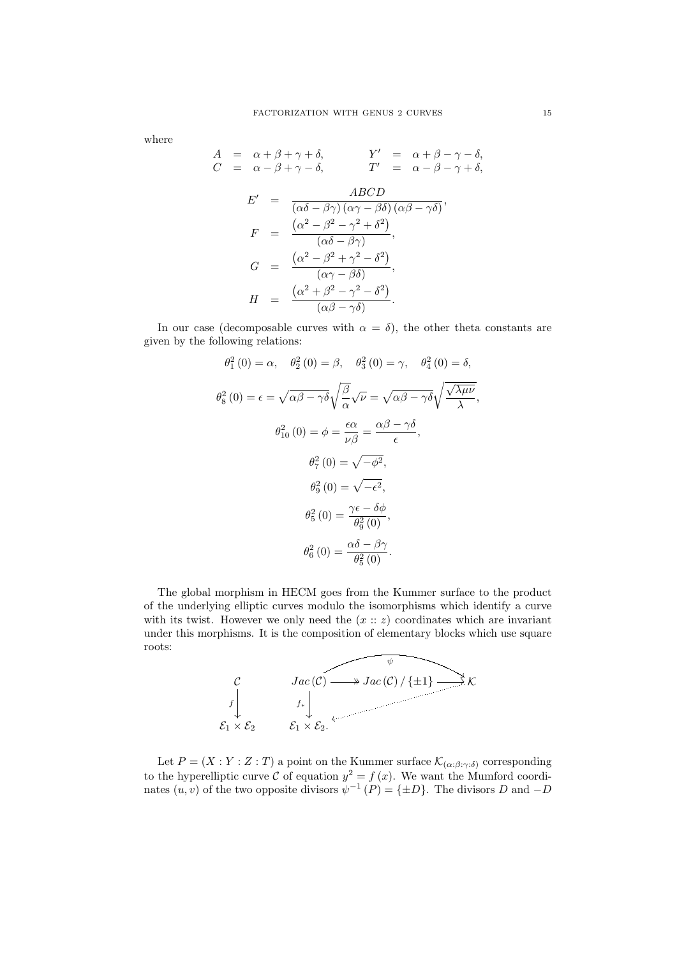where

$$
A = \alpha + \beta + \gamma + \delta, \qquad Y' = \alpha + \beta - \gamma - \delta, C = \alpha - \beta + \gamma - \delta, \qquad T' = \alpha - \beta - \gamma + \delta, E' = \frac{ABCD}{(\alpha\delta - \beta\gamma)(\alpha\gamma - \beta\delta)(\alpha\beta - \gamma\delta)}, F = \frac{(\alpha^2 - \beta^2 - \gamma^2 + \delta^2)}{(\alpha\delta - \beta\gamma)}, G = \frac{(\alpha^2 - \beta^2 + \gamma^2 - \delta^2)}{(\alpha\gamma - \beta\delta)}, H = \frac{(\alpha^2 + \beta^2 - \gamma^2 - \delta^2)}{(\alpha\beta - \gamma\delta)}.
$$

In our case (decomposable curves with  $\alpha = \delta$ ), the other theta constants are given by the following relations:

$$
\theta_1^2(0) = \alpha, \quad \theta_2^2(0) = \beta, \quad \theta_3^2(0) = \gamma, \quad \theta_4^2(0) = \delta,
$$
  

$$
\theta_8^2(0) = \epsilon = \sqrt{\alpha\beta - \gamma\delta} \sqrt{\frac{\beta}{\alpha}} \sqrt{\nu} = \sqrt{\alpha\beta - \gamma\delta} \sqrt{\frac{\sqrt{\lambda\mu\nu}}{\lambda}},
$$
  

$$
\theta_{10}^2(0) = \phi = \frac{\epsilon\alpha}{\nu\beta} = \frac{\alpha\beta - \gamma\delta}{\epsilon},
$$
  

$$
\theta_7^2(0) = \sqrt{-\phi^2},
$$
  

$$
\theta_9^2(0) = \sqrt{-\epsilon^2},
$$
  

$$
\theta_9^2(0) = \frac{\gamma\epsilon - \delta\phi}{\theta_9^2(0)},
$$
  

$$
\theta_6^2(0) = \frac{\alpha\delta - \beta\gamma}{\theta_9^2(0)}.
$$

The global morphism in HECM goes from the Kummer surface to the product of the underlying elliptic curves modulo the isomorphisms which identify a curve with its twist. However we only need the  $(x:: z)$  coordinates which are invariant under this morphisms. It is the composition of elementary blocks which use square roots:



Let  $P = (X : Y : Z : T)$  a point on the Kummer surface  $\mathcal{K}_{(\alpha:\beta:\gamma:\delta)}$  corresponding to the hyperelliptic curve C of equation  $y^2 = f(x)$ . We want the Mumford coordinates  $(u, v)$  of the two opposite divisors  $\psi^{-1}(P) = {\pm D}$ . The divisors D and  $-D$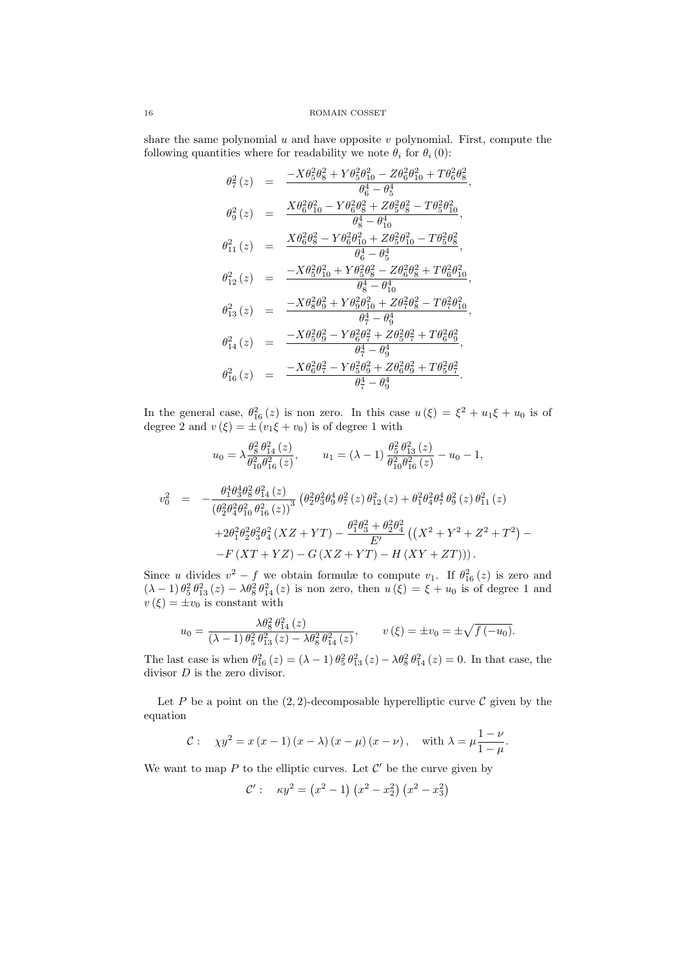share the same polynomial  $u$  and have opposite  $v$  polynomial. First, compute the following quantities where for readability we note  $\theta_i$  for  $\theta_i$  (0):

$$
\begin{array}{rcl} \theta_{7}^{2}(z) & = & \frac{-X\theta_{5}^{2}\theta_{8}^{2}+Y\theta_{5}^{2}\theta_{10}^{2}-Z\theta_{6}^{2}\theta_{10}^{2}+T\theta_{6}^{2}\theta_{8}^{2}}{\theta_{6}^{4}-\theta_{5}^{4}},\\ \theta_{9}^{2}(z) & = & \frac{X\theta_{6}^{2}\theta_{10}^{2}-Y\theta_{6}^{2}\theta_{8}^{2}+Z\theta_{5}^{2}\theta_{8}^{2}-T\theta_{5}^{2}\theta_{10}^{2}}{\theta_{6}^{4}-\theta_{10}^{4}},\\ \theta_{11}^{2}(z) & = & \frac{X\theta_{6}^{2}\theta_{8}^{2}-Y\theta_{6}^{2}\theta_{10}^{2}+Z\theta_{5}^{2}\theta_{10}^{2}-T\theta_{5}^{2}\theta_{8}^{2}}{\theta_{6}^{4}-\theta_{5}^{4}},\\ \theta_{12}^{2}(z) & = & \frac{-X\theta_{5}^{2}\theta_{10}^{2}+Y\theta_{5}^{2}\theta_{8}^{2}-Z\theta_{6}^{2}\theta_{8}^{2}+T\theta_{6}^{2}\theta_{10}^{2}}{\theta_{8}^{4}-\theta_{10}^{4}},\\ \theta_{13}^{2}(z) & = & \frac{-X\theta_{8}^{2}\theta_{9}^{2}+Y\theta_{9}^{2}\theta_{10}^{2}+Z\theta_{7}^{2}\theta_{8}^{2}-T\theta_{7}^{2}\theta_{10}^{2}}{\theta_{7}^{4}-\theta_{9}^{4}},\\ \theta_{14}^{2}(z) & = & \frac{-X\theta_{5}^{2}\theta_{9}^{2}-Y\theta_{6}^{2}\theta_{7}^{2}+Z\theta_{5}^{2}\theta_{7}^{2}+T\theta_{6}^{2}\theta_{9}^{2}}{\theta_{7}^{4}-\theta_{9}^{4}},\\ \theta_{16}^{2}(z) & = & \frac{-X\theta_{6}^{2}\theta_{7}^{2}-Y\theta_{5}^{2}\theta_{9}^{2}+Z\theta_{6}^{2}\theta_{9}^{2}+T\theta_{5}^{2}\theta_{7}^{2}}{\theta_{7}^{4}-\theta_{9}^{4}}.\end{array}
$$

In the general case,  $\theta_{16}^2(z)$  is non zero. In this case  $u(\xi) = \xi^2 + u_1 \xi + u_0$  is of degree 2 and  $v(\xi) = \pm (v_1 \xi + v_0)$  is of degree 1 with

$$
u_0 = \lambda \frac{\theta_8^2 \theta_{14}^2(z)}{\theta_{10}^2 \theta_{16}^2(z)}, \qquad u_1 = (\lambda - 1) \frac{\theta_5^2 \theta_{13}^2(z)}{\theta_{10}^2 \theta_{16}^2(z)} - u_0 - 1,
$$
  

$$
v_0^2 = -\frac{\theta_1^4 \theta_3^4 \theta_8^2 \theta_{14}^2(z)}{(\theta_2^2 \theta_4^2 \theta_{10}^2 \theta_{16}^2(z))^3} (\theta_2^2 \theta_3^2 \theta_9^4 \theta_7^2(z) \theta_{12}^2(z) + \theta_1^2 \theta_4^2 \theta_7^4 \theta_9^2(z) \theta_{11}^2(z)
$$
  

$$
+ 2\theta_1^2 \theta_2^2 \theta_3^2 \theta_4^2 (XZ + YT) - \frac{\theta_1^2 \theta_3^2 + \theta_2^2 \theta_4^2}{E'} ((X^2 + Y^2 + Z^2 + T^2))
$$
  

$$
-F (XT + YZ) - G (XZ + YT) - H (XY + ZT))).
$$

Since u divides  $v^2 - f$  we obtain formulæ to compute  $v_1$ . If  $\theta_{16}^2(z)$  is zero and  $(\lambda - 1) \theta_5^2 \theta_{13}^2 (z) - \lambda \theta_8^2 \theta_{14}^2 (z)$  is non zero, then  $u(\xi) = \xi + u_0$  is of degree 1 and  $v(\xi) = \pm v_0$  is constant with

−

$$
u_0 = \frac{\lambda \theta_8^2 \theta_{14}^2(z)}{(\lambda - 1) \theta_5^2 \theta_{13}^2(z) - \lambda \theta_8^2 \theta_{14}^2(z)}, \qquad v(\xi) = \pm v_0 = \pm \sqrt{f(-u_0)}.
$$

The last case is when  $\theta_{16}^2(z) = (\lambda - 1) \theta_5^2 \theta_{13}^2(z) - \lambda \theta_8^2 \theta_{14}^2(z) = 0$ . In that case, the divisor  $D$  is the zero divisor.

Let P be a point on the  $(2, 2)$ -decomposable hyperelliptic curve C given by the equation

$$
C: \quad \chi y^2 = x (x - 1) (x - \lambda) (x - \mu) (x - \nu), \quad \text{with } \lambda = \mu \frac{1 - \nu}{1 - \mu}.
$$

We want to map  $P$  to the elliptic curves. Let  $\mathcal{C}'$  be the curve given by

$$
\mathcal{C}' : \kappa y^2 = (x^2 - 1)(x^2 - x_2^2)(x^2 - x_3^2)
$$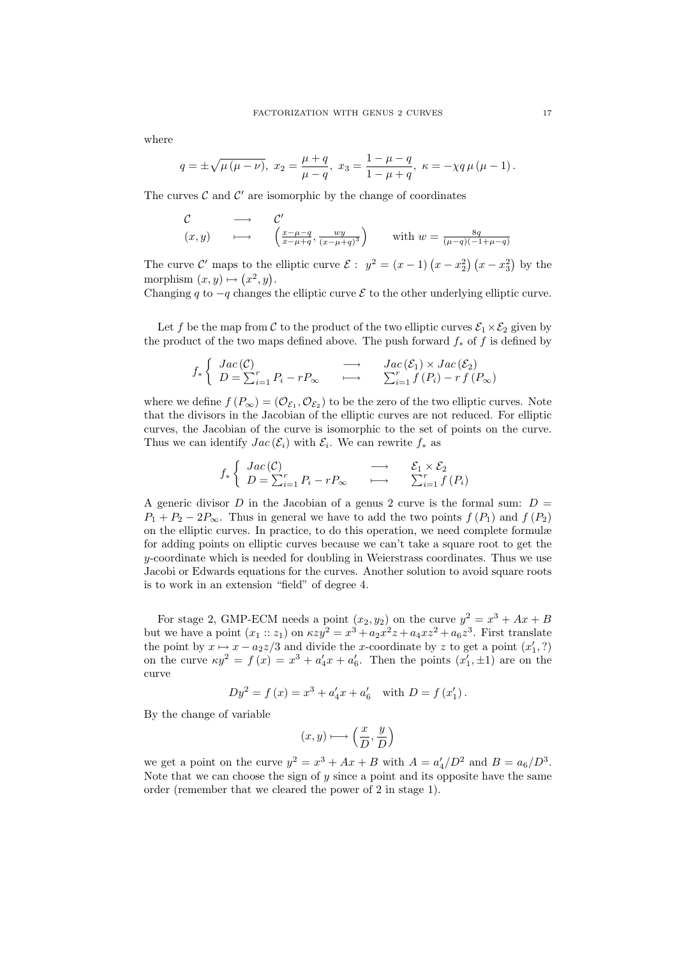where

$$
q = \pm \sqrt{\mu (\mu - \nu)}, \ x_2 = \frac{\mu + q}{\mu - q}, \ x_3 = \frac{1 - \mu - q}{1 - \mu + q}, \ \kappa = -\chi q \mu (\mu - 1).
$$

The curves  $\mathcal C$  and  $\mathcal C'$  are isomorphic by the change of coordinates

$$
\begin{array}{ccc}\n\mathcal{C} & \longrightarrow & \mathcal{C}' \\
(x, y) & \longmapsto & \left(\frac{x - \mu - q}{x - \mu + q}, \frac{wy}{(x - \mu + q)^3}\right) & \text{with } w = \frac{8q}{(\mu - q)(-1 + \mu - q)}\n\end{array}
$$

The curve  $\mathcal{C}'$  maps to the elliptic curve  $\mathcal{E}: y^2 = (x-1)(x-x_2^2)(x-x_3^2)$  by the morphism  $(x, y) \mapsto (x^2, y)$ .

Changing q to  $-q$  changes the elliptic curve  $\mathcal E$  to the other underlying elliptic curve.

Let f be the map from C to the product of the two elliptic curves  $\mathcal{E}_1 \times \mathcal{E}_2$  given by the product of the two maps defined above. The push forward  $f_*$  of f is defined by

$$
f_*\left\{\begin{array}{ll}\nJac(\mathcal{C}) & \longrightarrow & Jac(\mathcal{E}_1) \times Jac(\mathcal{E}_2) \\
D = \sum_{i=1}^r P_i - rP_\infty & \longmapsto & \sum_{i=1}^r f(P_i) - r f(P_\infty)\n\end{array}\right.
$$

where we define  $f(P_\infty) = (\mathcal{O}_{\mathcal{E}_1}, \mathcal{O}_{\mathcal{E}_2})$  to be the zero of the two elliptic curves. Note that the divisors in the Jacobian of the elliptic curves are not reduced. For elliptic curves, the Jacobian of the curve is isomorphic to the set of points on the curve. Thus we can identify  $Jac(\mathcal{E}_i)$  with  $\mathcal{E}_i$ . We can rewrite  $f_*$  as

$$
f_*\left\{\begin{array}{ccc}\nJac(C) & \longrightarrow & \mathcal{E}_1 \times \mathcal{E}_2 \\
D = \sum_{i=1}^r P_i - rP_\infty & \longmapsto & \sum_{i=1}^r f(P_i)\n\end{array}\right.
$$

A generic divisor D in the Jacobian of a genus 2 curve is the formal sum:  $D =$  $P_1 + P_2 - 2P_{\infty}$ . Thus in general we have to add the two points  $f(P_1)$  and  $f(P_2)$ on the elliptic curves. In practice, to do this operation, we need complete formulæ for adding points on elliptic curves because we can't take a square root to get the  $y$ -coordinate which is needed for doubling in Weierstrass coordinates. Thus we use Jacobi or Edwards equations for the curves. Another solution to avoid square roots is to work in an extension "field" of degree 4.

For stage 2, GMP-ECM needs a point  $(x_2, y_2)$  on the curve  $y^2 = x^3 + Ax + B$ but we have a point  $(x_1:: z_1)$  on  $\kappa z y^2 = x^3 + a_2 x^2 z + a_4 x z^2 + a_6 z^3$ . First translate the point by  $x \mapsto x - a_2 z/3$  and divide the x-coordinate by z to get a point  $(x'_1, ?)$ on the curve  $\kappa y^2 = f(x) = x^3 + a'_4 x + a'_6$ . Then the points  $(x'_1, \pm 1)$  are on the curve

$$
Dy^{2} = f(x) = x^{3} + a'_{4}x + a'_{6} \text{ with } D = f(x'_{1}).
$$

By the change of variable

$$
(x,y)\longmapsto \left(\frac{x}{D},\frac{y}{D}\right)
$$

we get a point on the curve  $y^2 = x^3 + Ax + B$  with  $A = a'_4/D^2$  and  $B = a_6/D^3$ . Note that we can choose the sign of  $y$  since a point and its opposite have the same order (remember that we cleared the power of 2 in stage 1).